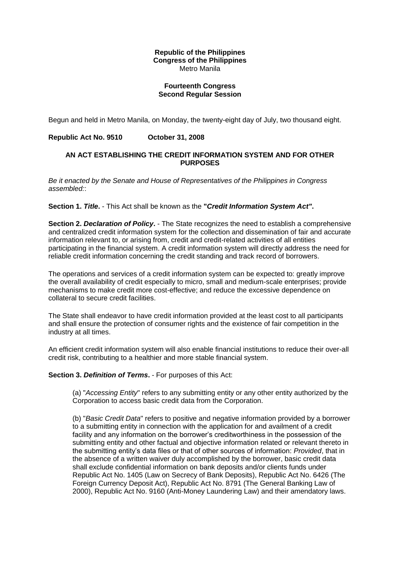### **Republic of the Philippines Congress of the Philippines** Metro Manila

## **Fourteenth Congress Second Regular Session**

Begun and held in Metro Manila, on Monday, the twenty-eight day of July, two thousand eight.

## **Republic Act No. 9510 October 31, 2008**

## **AN ACT ESTABLISHING THE CREDIT INFORMATION SYSTEM AND FOR OTHER PURPOSES**

*Be it enacted by the Senate and House of Representatives of the Philippines in Congress assembled:*:

### **Section 1.** *Title***.** - This Act shall be known as the **"***Credit Information System Act"***.**

**Section 2.** *Declaration of Policy***.** - The State recognizes the need to establish a comprehensive and centralized credit information system for the collection and dissemination of fair and accurate information relevant to, or arising from, credit and credit-related activities of all entities participating in the financial system. A credit information system will directly address the need for reliable credit information concerning the credit standing and track record of borrowers.

The operations and services of a credit information system can be expected to: greatly improve the overall availability of credit especially to micro, small and medium-scale enterprises; provide mechanisms to make credit more cost-effective; and reduce the excessive dependence on collateral to secure credit facilities.

The State shall endeavor to have credit information provided at the least cost to all participants and shall ensure the protection of consumer rights and the existence of fair competition in the industry at all times.

An efficient credit information system will also enable financial institutions to reduce their over-all credit risk, contributing to a healthier and more stable financial system.

#### **Section 3.** *Definition of Terms***.** - For purposes of this Act:

(a) "*Accessing Entity*" refers to any submitting entity or any other entity authorized by the Corporation to access basic credit data from the Corporation.

(b) "*Basic Credit Data*" refers to positive and negative information provided by a borrower to a submitting entity in connection with the application for and availment of a credit facility and any information on the borrower's creditworthiness in the possession of the submitting entity and other factual and objective information related or relevant thereto in the submitting entity's data files or that of other sources of information: *Provided*, that in the absence of a written waiver duly accomplished by the borrower, basic credit data shall exclude confidential information on bank deposits and/or clients funds under Republic Act No. 1405 (Law on Secrecy of Bank Deposits), Republic Act No. 6426 (The Foreign Currency Deposit Act), Republic Act No. 8791 (The General Banking Law of 2000), Republic Act No. 9160 (Anti-Money Laundering Law) and their amendatory laws.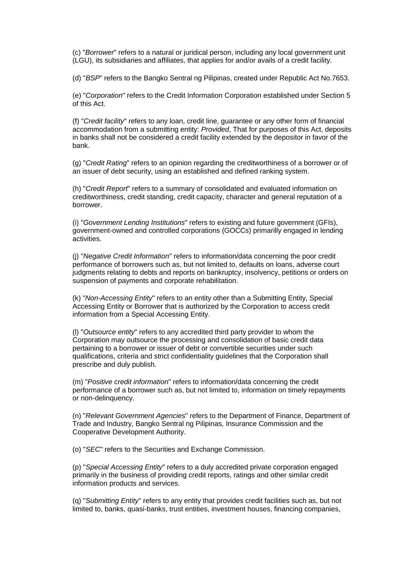(c) "*Borrower*" refers to a natural or juridical person, including any local government unit (LGU), its subsidiaries and affiliates, that applies for and/or avails of a credit facility.

(d) "*BSP*" refers to the Bangko Sentral ng Pilipinas, created under Republic Act No.7653.

(e) "*Corporation*" refers to the Credit Information Corporation established under Section 5 of this Act.

(f) "*Credit facility*" refers to any loan, credit line, guarantee or any other form of financial accommodation from a submitting entity: *Provided*, That for purposes of this Act, deposits in banks shall not be considered a credit facility extended by the depositor in favor of the bank.

(g) "*Credit Rating*" refers to an opinion regarding the creditworthiness of a borrower or of an issuer of debt security, using an established and defined ranking system.

(h) "*Credit Report*" refers to a summary of consolidated and evaluated information on creditworthiness, credit standing, credit capacity, character and general reputation of a borrower.

(i) "*Government Lending Institutions*" refers to existing and future government (GFIs), government-owned and controlled corporations (GOCCs) primarilly engaged in lending activities.

(j) "*Negative Credit Information*" refers to information/data concerning the poor credit performance of borrowers such as, but not limited to, defaults on loans, adverse court judgments relating to debts and reports on bankruptcy, insolvency, petitions or orders on suspension of payments and corporate rehabilitation.

(k) "*Non-Accessing Entity*" refers to an entity other than a Submitting Entity, Special Accessing Entity or Borrower that is authorized by the Corporation to access credit information from a Special Accessing Entity.

(l) "*Outsource entity*" refers to any accredited third party provider to whom the Corporation may outsource the processing and consolidation of basic credit data pertaining to a borrower or issuer of debt or convertible securities under such qualifications, criteria and strict confidentiality guidelines that the Corporation shall prescribe and duly publish.

(m) "*Positive credit information*" refers to information/data concerning the credit performance of a borrower such as, but not limited to, information on timely repayments or non-delinquency.

(n) "*Relevant Government Agencies*" refers to the Department of Finance, Department of Trade and Industry, Bangko Sentral ng Pilipinas, Insurance Commission and the Cooperative Development Authority.

(o) "*SEC*" refers to the Securities and Exchange Commission.

(p) "*Special Accessing Entity*" refers to a duly accredited private corporation engaged primarily in the business of providing credit reports, ratings and other similar credit information products and services.

(q) "*Submitting Entity*" refers to any entity that provides credit facilities such as, but not limited to, banks, quasi-banks, trust entities, investment houses, financing companies,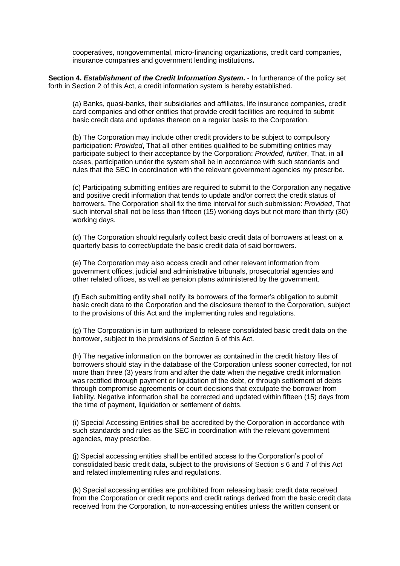cooperatives, nongovernmental, micro-financing organizations, credit card companies, insurance companies and government lending institutions**.**

**Section 4.** *Establishment of the Credit Information System***.** - In furtherance of the policy set forth in Section 2 of this Act, a credit information system is hereby established.

(a) Banks, quasi-banks, their subsidiaries and affiliates, life insurance companies, credit card companies and other entities that provide credit facilities are required to submit basic credit data and updates thereon on a regular basis to the Corporation.

(b) The Corporation may include other credit providers to be subject to compulsory participation: *Provided*, That all other entities qualified to be submitting entities may participate subject to their acceptance by the Corporation: *Provided*, *further*, That, in all cases, participation under the system shall be in accordance with such standards and rules that the SEC in coordination with the relevant government agencies my prescribe.

(c) Participating submitting entities are required to submit to the Corporation any negative and positive credit information that tends to update and/or correct the credit status of borrowers. The Corporation shall fix the time interval for such submission: *Provided*, That such interval shall not be less than fifteen (15) working days but not more than thirty (30) working days.

(d) The Corporation should regularly collect basic credit data of borrowers at least on a quarterly basis to correct/update the basic credit data of said borrowers.

(e) The Corporation may also access credit and other relevant information from government offices, judicial and administrative tribunals, prosecutorial agencies and other related offices, as well as pension plans administered by the government.

(f) Each submitting entity shall notify its borrowers of the former's obligation to submit basic credit data to the Corporation and the disclosure thereof to the Corporation, subject to the provisions of this Act and the implementing rules and regulations.

(g) The Corporation is in turn authorized to release consolidated basic credit data on the borrower, subject to the provisions of Section 6 of this Act.

(h) The negative information on the borrower as contained in the credit history files of borrowers should stay in the database of the Corporation unless sooner corrected, for not more than three (3) years from and after the date when the negative credit information was rectified through payment or liquidation of the debt, or through settlement of debts through compromise agreements or court decisions that exculpate the borrower from liability. Negative information shall be corrected and updated within fifteen (15) days from the time of payment, liquidation or settlement of debts.

(i) Special Accessing Entities shall be accredited by the Corporation in accordance with such standards and rules as the SEC in coordination with the relevant government agencies, may prescribe.

(j) Special accessing entities shall be entitled access to the Corporation's pool of consolidated basic credit data, subject to the provisions of Section s 6 and 7 of this Act and related implementing rules and regulations.

(k) Special accessing entities are prohibited from releasing basic credit data received from the Corporation or credit reports and credit ratings derived from the basic credit data received from the Corporation, to non-accessing entities unless the written consent or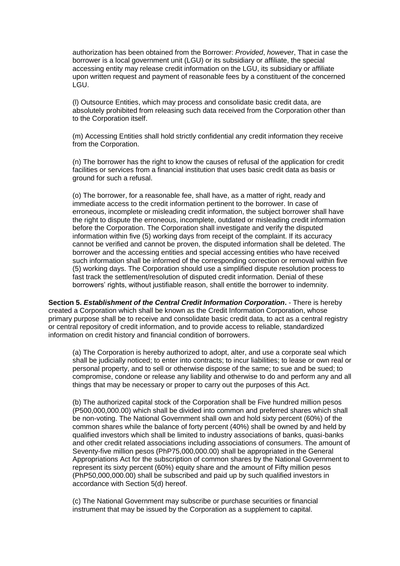authorization has been obtained from the Borrower: *Provided*, *however*, That in case the borrower is a local government unit (LGU) or its subsidiary or affiliate, the special accessing entity may release credit information on the LGU, its subsidiary or affiliate upon written request and payment of reasonable fees by a constituent of the concerned LGU.

(l) Outsource Entities, which may process and consolidate basic credit data, are absolutely prohibited from releasing such data received from the Corporation other than to the Corporation itself.

(m) Accessing Entities shall hold strictly confidential any credit information they receive from the Corporation.

(n) The borrower has the right to know the causes of refusal of the application for credit facilities or services from a financial institution that uses basic credit data as basis or ground for such a refusal.

(o) The borrower, for a reasonable fee, shall have, as a matter of right, ready and immediate access to the credit information pertinent to the borrower. In case of erroneous, incomplete or misleading credit information, the subject borrower shall have the right to dispute the erroneous, incomplete, outdated or misleading credit information before the Corporation. The Corporation shall investigate and verify the disputed information within five (5) working days from receipt of the complaint. If its accuracy cannot be verified and cannot be proven, the disputed information shall be deleted. The borrower and the accessing entities and special accessing entities who have received such information shall be informed of the corresponding correction or removal within five (5) working days. The Corporation should use a simplified dispute resolution process to fast track the settlement/resolution of disputed credit information. Denial of these borrowers' rights, without justifiable reason, shall entitle the borrower to indemnity.

**Section 5.** *Establishment of the Central Credit Information Corporation***.** - There is hereby created a Corporation which shall be known as the Credit Information Corporation, whose primary purpose shall be to receive and consolidate basic credit data, to act as a central registry or central repository of credit information, and to provide access to reliable, standardized information on credit history and financial condition of borrowers.

(a) The Corporation is hereby authorized to adopt, alter, and use a corporate seal which shall be judicially noticed; to enter into contracts; to incur liabilities; to lease or own real or personal property, and to sell or otherwise dispose of the same; to sue and be sued; to compromise, condone or release any liability and otherwise to do and perform any and all things that may be necessary or proper to carry out the purposes of this Act.

(b) The authorized capital stock of the Corporation shall be Five hundred million pesos (P500,000,000.00) which shall be divided into common and preferred shares which shall be non-voting. The National Government shall own and hold sixty percent (60%) of the common shares while the balance of forty percent (40%) shall be owned by and held by qualified investors which shall be limited to industry associations of banks, quasi-banks and other credit related associations including associations of consumers. The amount of Seventy-five million pesos (PhP75,000,000.00) shall be appropriated in the General Appropriations Act for the subscription of common shares by the National Government to represent its sixty percent (60%) equity share and the amount of Fifty million pesos (PhP50,000,000.00) shall be subscribed and paid up by such qualified investors in accordance with Section 5(d) hereof.

(c) The National Government may subscribe or purchase securities or financial instrument that may be issued by the Corporation as a supplement to capital.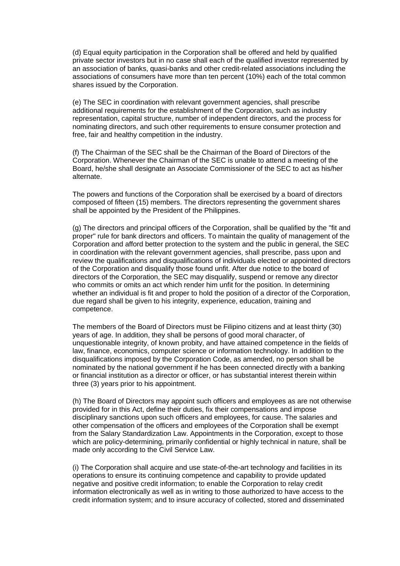(d) Equal equity participation in the Corporation shall be offered and held by qualified private sector investors but in no case shall each of the qualified investor represented by an association of banks, quasi-banks and other credit-related associations including the associations of consumers have more than ten percent (10%) each of the total common shares issued by the Corporation.

(e) The SEC in coordination with relevant government agencies, shall prescribe additional requirements for the establishment of the Corporation, such as industry representation, capital structure, number of independent directors, and the process for nominating directors, and such other requirements to ensure consumer protection and free, fair and healthy competition in the industry.

(f) The Chairman of the SEC shall be the Chairman of the Board of Directors of the Corporation. Whenever the Chairman of the SEC is unable to attend a meeting of the Board, he/she shall designate an Associate Commissioner of the SEC to act as his/her alternate.

The powers and functions of the Corporation shall be exercised by a board of directors composed of fifteen (15) members. The directors representing the government shares shall be appointed by the President of the Philippines.

(g) The directors and principal officers of the Corporation, shall be qualified by the "fit and proper" rule for bank directors and officers. To maintain the quality of management of the Corporation and afford better protection to the system and the public in general, the SEC in coordination with the relevant government agencies, shall prescribe, pass upon and review the qualifications and disqualifications of individuals elected or appointed directors of the Corporation and disqualify those found unfit. After due notice to the board of directors of the Corporation, the SEC may disqualify, suspend or remove any director who commits or omits an act which render him unfit for the position. In determining whether an individual is fit and proper to hold the position of a director of the Corporation, due regard shall be given to his integrity, experience, education, training and competence.

The members of the Board of Directors must be Filipino citizens and at least thirty (30) years of age. In addition, they shall be persons of good moral character, of unquestionable integrity, of known probity, and have attained competence in the fields of law, finance, economics, computer science or information technology. In addition to the disqualifications imposed by the Corporation Code, as amended, no person shall be nominated by the national government if he has been connected directly with a banking or financial institution as a director or officer, or has substantial interest therein within three (3) years prior to his appointment.

(h) The Board of Directors may appoint such officers and employees as are not otherwise provided for in this Act, define their duties, fix their compensations and impose disciplinary sanctions upon such officers and employees, for cause. The salaries and other compensation of the officers and employees of the Corporation shall be exempt from the Salary Standardization Law. Appointments in the Corporation, except to those which are policy-determining, primarily confidential or highly technical in nature, shall be made only according to the Civil Service Law.

(i) The Corporation shall acquire and use state-of-the-art technology and facilities in its operations to ensure its continuing competence and capability to provide updated negative and positive credit information; to enable the Corporation to relay credit information electronically as well as in writing to those authorized to have access to the credit information system; and to insure accuracy of collected, stored and disseminated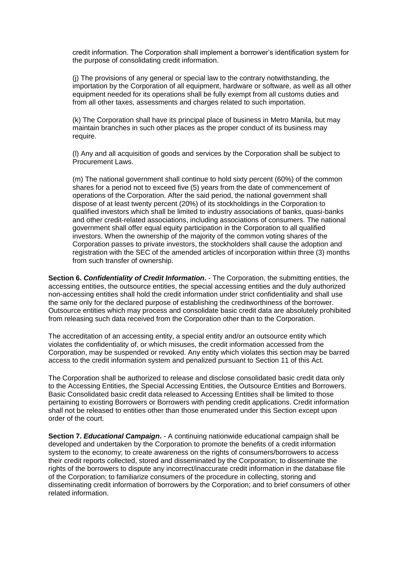credit information. The Corporation shall implement a borrower's identification system for the purpose of consolidating credit information.

(j) The provisions of any general or special law to the contrary notwithstanding, the importation by the Corporation of all equipment, hardware or software, as well as all other equipment needed for its operations shall be fully exempt from all customs duties and from all other taxes, assessments and charges related to such importation.

(k) The Corporation shall have its principal place of business in Metro Manila, but may maintain branches in such other places as the proper conduct of its business may require.

(l) Any and all acquisition of goods and services by the Corporation shall be subject to Procurement Laws.

(m) The national government shall continue to hold sixty percent (60%) of the common shares for a period not to exceed five (5) years from the date of commencement of operations of the Corporation. After the said period, the national government shall dispose of at least twenty percent (20%) of its stockholdings in the Corporation to qualified investors which shall be limited to industry associations of banks, quasi-banks and other credit-related associations, including associations of consumers. The national government shall offer equal equity participation in the Corporation to all qualified investors. When the ownership of the majority of the common voting shares of the Corporation passes to private investors, the stockholders shall cause the adoption and registration with the SEC of the amended articles of incorporation within three (3) months from such transfer of ownership.

**Section 6.** *Confidentiality of Credit Information***.** - The Corporation, the submitting entities, the accessing entities, the outsource entities, the special accessing entities and the duly authorized non-accessing entities shall hold the credit information under strict confidentiality and shall use the same only for the declared purpose of establishing the creditworthiness of the borrower. Outsource entities which may process and consolidate basic credit data are absolutely prohibited from releasing such data received from the Corporation other than to the Corporation.

The accreditation of an accessing entity, a special entity and/or an outsource entity which violates the confidentiality of, or which misuses, the credit information accessed from the Corporation, may be suspended or revoked. Any entity which violates this section may be barred access to the credit information system and penalized pursuant to Section 11 of this Act.

The Corporation shall be authorized to release and disclose consolidated basic credit data only to the Accessing Entities, the Special Accessing Entities, the Outsource Entities and Borrowers. Basic Consolidated basic credit data released to Accessing Entities shall be limited to those pertaining to existing Borrowers or Borrowers with pending credit applications. Credit information shall not be released to entities other than those enumerated under this Section except upon order of the court.

**Section 7.** *Educational Campaign***.** - A continuing nationwide educational campaign shall be developed and undertaken by the Corporation to promote the benefits of a credit information system to the economy; to create awareness on the rights of consumers/borrowers to access their credit reports collected, stored and disseminated by the Corporation; to disseminate the rights of the borrowers to dispute any incorrect/inaccurate credit information in the database file of the Corporation; to familiarize consumers of the procedure in collecting, storing and disseminating credit information of borrowers by the Corporation; and to brief consumers of other related information.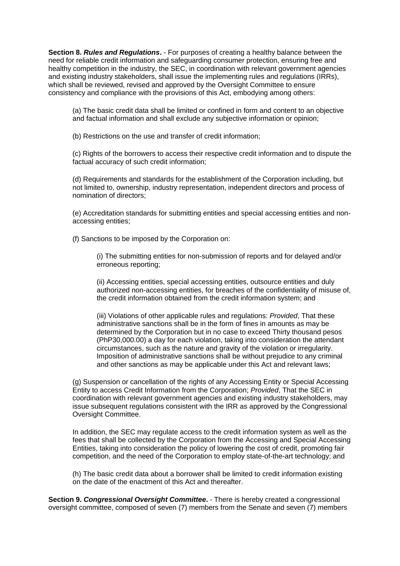**Section 8.** *Rules and Regulations***.** - For purposes of creating a healthy balance between the need for reliable credit information and safeguarding consumer protection, ensuring free and healthy competition in the industry, the SEC, in coordination with relevant government agencies and existing industry stakeholders, shall issue the implementing rules and regulations (IRRs), which shall be reviewed, revised and approved by the Oversight Committee to ensure consistency and compliance with the provisions of this Act, embodying among others:

(a) The basic credit data shall be limited or confined in form and content to an objective and factual information and shall exclude any subjective information or opinion;

(b) Restrictions on the use and transfer of credit information;

(c) Rights of the borrowers to access their respective credit information and to dispute the factual accuracy of such credit information;

(d) Requirements and standards for the establishment of the Corporation including, but not limited to, ownership, industry representation, independent directors and process of nomination of directors;

(e) Accreditation standards for submitting entities and special accessing entities and nonaccessing entities;

(f) Sanctions to be imposed by the Corporation on:

(i) The submitting entities for non-submission of reports and for delayed and/or erroneous reporting;

(ii) Accessing entities, special accessing entities, outsource entities and duly authorized non-accessing entities, for breaches of the confidentiality of misuse of, the credit information obtained from the credit information system; and

(iii) Violations of other applicable rules and regulations: *Provided*, That these administrative sanctions shall be in the form of fines in amounts as may be determined by the Corporation but in no case to exceed Thirty thousand pesos (PhP30,000.00) a day for each violation, taking into consideration the attendant circumstances, such as the nature and gravity of the violation or irregularity. Imposition of administrative sanctions shall be without prejudice to any criminal and other sanctions as may be applicable under this Act and relevant laws;

(g) Suspension or cancellation of the rights of any Accessing Entity or Special Accessing Entity to access Credit Information from the Corporation; *Provided*, That the SEC in coordination with relevant government agencies and existing industry stakeholders, may issue subsequent regulations consistent with the IRR as approved by the Congressional Oversight Committee.

In addition, the SEC may regulate access to the credit information system as well as the fees that shall be collected by the Corporation from the Accessing and Special Accessing Entities, taking into consideration the policy of lowering the cost of credit, promoting fair competition, and the need of the Corporation to employ state-of-the-art technology; and

(h) The basic credit data about a borrower shall be limited to credit information existing on the date of the enactment of this Act and thereafter.

**Section 9.** *Congressional Oversight Committee***.** - There is hereby created a congressional oversight committee, composed of seven (7) members from the Senate and seven (7) members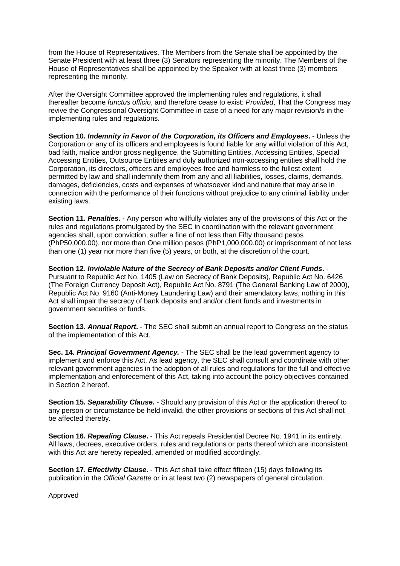from the House of Representatives. The Members from the Senate shall be appointed by the Senate President with at least three (3) Senators representing the minority. The Members of the House of Representatives shall be appointed by the Speaker with at least three (3) members representing the minority.

After the Oversight Committee approved the implementing rules and regulations, it shall thereafter become *functus officio*, and therefore cease to exist: *Provided*, That the Congress may revive the Congressional Oversight Committee in case of a need for any major revision/s in the implementing rules and regulations.

**Section 10.** *Indemnity in Favor of the Corporation, its Officers and Employees***.** - Unless the Corporation or any of its officers and employees is found liable for any willful violation of this Act, bad faith, malice and/or gross negligence, the Submitting Entities, Accessing Entities, Special Accessing Entities, Outsource Entities and duly authorized non-accessing entities shall hold the Corporation, its directors, officers and employees free and harmless to the fullest extent permitted by law and shall indemnify them from any and all liabilities, losses, claims, demands, damages, deficiencies, costs and expenses of whatsoever kind and nature that may arise in connection with the performance of their functions without prejudice to any criminal liability under existing laws.

**Section 11.** *Penalties***.** - Any person who willfully violates any of the provisions of this Act or the rules and regulations promulgated by the SEC in coordination with the relevant government agencies shall, upon conviction, suffer a fine of not less than Fifty thousand pesos (PhP50,000.00). nor more than One million pesos (PhP1,000,000.00) or imprisonment of not less than one (1) year nor more than five (5) years, or both, at the discretion of the court.

**Section 12.** *Inviolable Nature of the Secrecy of Bank Deposits and/or Client Funds***.** - Pursuant to Republic Act No. 1405 (Law on Secrecy of Bank Deposits), Republic Act No. 6426 (The Foreign Currency Deposit Act), Republic Act No. 8791 (The General Banking Law of 2000), Republic Act No. 9160 (Anti-Money Laundering Law) and their amendatory laws, nothing in this Act shall impair the secrecy of bank deposits and and/or client funds and investments in government securities or funds.

**Section 13.** *Annual Report***.** - The SEC shall submit an annual report to Congress on the status of the implementation of this Act.

**Sec. 14.** *Principal Government Agency.* - The SEC shall be the lead government agency to implement and enforce this Act. As lead agency, the SEC shall consult and coordinate with other relevant government agencies in the adoption of all rules and regulations for the full and effective implementation and enforecement of this Act, taking into account the policy objectives contained in Section 2 hereof.

**Section 15.** *Separability Clause***.** - Should any provision of this Act or the application thereof to any person or circumstance be held invalid, the other provisions or sections of this Act shall not be affected thereby.

**Section 16.** *Repealing Clause***.** - This Act repeals Presidential Decree No. 1941 in its entirety. All laws, decrees, executive orders, rules and regulations or parts thereof which are inconsistent with this Act are hereby repealed, amended or modified accordingly.

**Section 17.** *Effectivity Clause***.** - This Act shall take effect fifteen (15) days following its publication in the *Official Gazette* or in at least two (2) newspapers of general circulation.

Approved